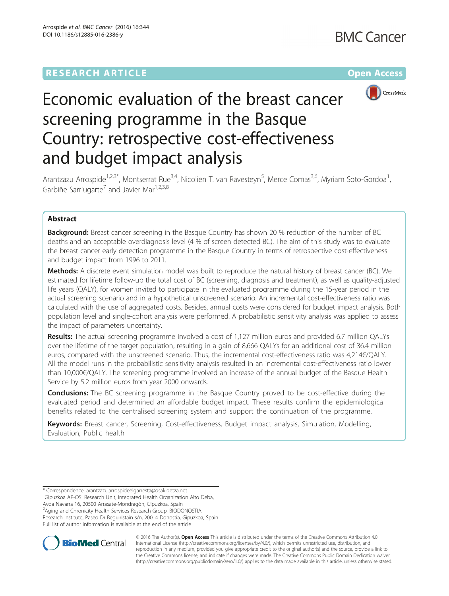## **RESEARCH ARTICLE Example 2014 12:30 The Company Access** (RESEARCH ARTICLE



# Economic evaluation of the breast cancer screening programme in the Basque Country: retrospective cost-effectiveness and budget impact analysis

Arantzazu Arrospide<sup>1,2,3\*</sup>, Montserrat Rue<sup>3,4</sup>, Nicolien T. van Ravesteyn<sup>5</sup>, Merce Comas<sup>3,6</sup>, Myriam Soto-Gordoa<sup>1</sup> , Garbiñe Sarriugarte<sup>7</sup> and Javier Mar<sup>1,2,3,8</sup>

#### Abstract

**Background:** Breast cancer screening in the Basque Country has shown 20 % reduction of the number of BC deaths and an acceptable overdiagnosis level (4 % of screen detected BC). The aim of this study was to evaluate the breast cancer early detection programme in the Basque Country in terms of retrospective cost-effectiveness and budget impact from 1996 to 2011.

Methods: A discrete event simulation model was built to reproduce the natural history of breast cancer (BC). We estimated for lifetime follow-up the total cost of BC (screening, diagnosis and treatment), as well as quality-adjusted life years (QALY), for women invited to participate in the evaluated programme during the 15-year period in the actual screening scenario and in a hypothetical unscreened scenario. An incremental cost-effectiveness ratio was calculated with the use of aggregated costs. Besides, annual costs were considered for budget impact analysis. Both population level and single-cohort analysis were performed. A probabilistic sensitivity analysis was applied to assess the impact of parameters uncertainty.

Results: The actual screening programme involved a cost of 1,127 million euros and provided 6.7 million QALYs over the lifetime of the target population, resulting in a gain of 8,666 QALYs for an additional cost of 36.4 million euros, compared with the unscreened scenario. Thus, the incremental cost-effectiveness ratio was 4,214€/QALY. All the model runs in the probabilistic sensitivity analysis resulted in an incremental cost-effectiveness ratio lower than 10,000€/QALY. The screening programme involved an increase of the annual budget of the Basque Health Service by 5.2 million euros from year 2000 onwards.

**Conclusions:** The BC screening programme in the Basque Country proved to be cost-effective during the evaluated period and determined an affordable budget impact. These results confirm the epidemiological benefits related to the centralised screening system and support the continuation of the programme.

Keywords: Breast cancer, Screening, Cost-effectiveness, Budget impact analysis, Simulation, Modelling, Evaluation, Public health

<sup>1</sup>Gipuzkoa AP-OSI Research Unit, Integrated Health Organization Alto Deba, Avda Navarra 16, 20500 Arrasate-Mondragón, Gipuzkoa, Spain 2 Aging and Chronicity Health Services Research Group, BIODONOSTIA

Research Institute, Paseo Dr Beguiristain s/n, 20014 Donostia, Gipuzkoa, Spain Full list of author information is available at the end of the article



© 2016 The Author(s). Open Access This article is distributed under the terms of the Creative Commons Attribution 4.0 International License [\(http://creativecommons.org/licenses/by/4.0/](http://creativecommons.org/licenses/by/4.0/)), which permits unrestricted use, distribution, and reproduction in any medium, provided you give appropriate credit to the original author(s) and the source, provide a link to the Creative Commons license, and indicate if changes were made. The Creative Commons Public Domain Dedication waiver [\(http://creativecommons.org/publicdomain/zero/1.0/](http://creativecommons.org/publicdomain/zero/1.0/)) applies to the data made available in this article, unless otherwise stated.

<sup>\*</sup> Correspondence: [arantzazu.arrospideelgarresta@osakidetza.net](mailto:arantzazu.arrospideelgarresta@osakidetza.net) <sup>1</sup>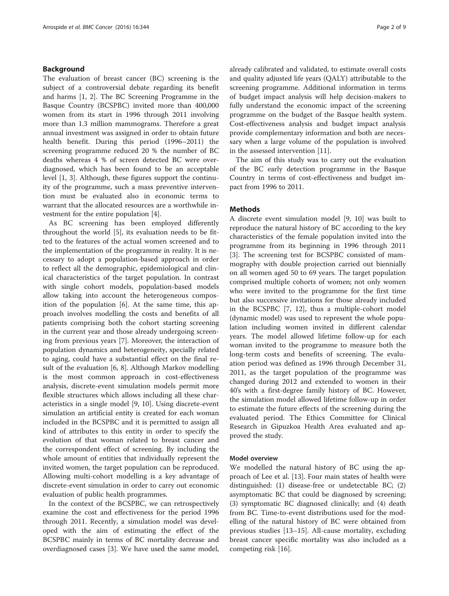#### Background

The evaluation of breast cancer (BC) screening is the subject of a controversial debate regarding its benefit and harms [\[1](#page-7-0), [2](#page-7-0)]. The BC Screening Programme in the Basque Country (BCSPBC) invited more than 400,000 women from its start in 1996 through 2011 involving more than 1.3 million mammograms. Therefore a great annual investment was assigned in order to obtain future health benefit. During this period (1996–2011) the screening programme reduced 20 % the number of BC deaths whereas 4 % of screen detected BC were overdiagnosed, which has been found to be an acceptable level [[1, 3\]](#page-7-0). Although, these figures support the continuity of the programme, such a mass preventive intervention must be evaluated also in economic terms to warrant that the allocated resources are a worthwhile investment for the entire population [[4\]](#page-7-0).

As BC screening has been employed differently throughout the world [[5](#page-7-0)], its evaluation needs to be fitted to the features of the actual women screened and to the implementation of the programme in reality. It is necessary to adopt a population-based approach in order to reflect all the demographic, epidemiological and clinical characteristics of the target population. In contrast with single cohort models, population-based models allow taking into account the heterogeneous composition of the population [\[6](#page-7-0)]. At the same time, this approach involves modelling the costs and benefits of all patients comprising both the cohort starting screening in the current year and those already undergoing screening from previous years [[7\]](#page-7-0). Moreover, the interaction of population dynamics and heterogeneity, specially related to aging, could have a substantial effect on the final result of the evaluation [[6,](#page-7-0) [8\]](#page-8-0). Although Markov modelling is the most common approach in cost-effectiveness analysis, discrete-event simulation models permit more flexible structures which allows including all these characteristics in a single model [[9, 10](#page-8-0)]. Using discrete-event simulation an artificial entity is created for each woman included in the BCSPBC and it is permitted to assign all kind of attributes to this entity in order to specify the evolution of that woman related to breast cancer and the correspondent effect of screening. By including the whole amount of entities that individually represent the invited women, the target population can be reproduced. Allowing multi-cohort modelling is a key advantage of discrete-event simulation in order to carry out economic evaluation of public health programmes.

In the context of the BCSPBC, we can retrospectively examine the cost and effectiveness for the period 1996 through 2011. Recently, a simulation model was developed with the aim of estimating the effect of the BCSPBC mainly in terms of BC mortality decrease and overdiagnosed cases [\[3](#page-7-0)]. We have used the same model, already calibrated and validated, to estimate overall costs and quality adjusted life years (QALY) attributable to the screening programme. Additional information in terms of budget impact analysis will help decision-makers to fully understand the economic impact of the screening programme on the budget of the Basque health system. Cost-effectiveness analysis and budget impact analysis provide complementary information and both are necessary when a large volume of the population is involved in the assessed intervention [\[11](#page-8-0)].

The aim of this study was to carry out the evaluation of the BC early detection programme in the Basque Country in terms of cost-effectiveness and budget impact from 1996 to 2011.

#### **Methods**

A discrete event simulation model [[9, 10](#page-8-0)] was built to reproduce the natural history of BC according to the key characteristics of the female population invited into the programme from its beginning in 1996 through 2011 [[3\]](#page-7-0). The screening test for BCSPBC consisted of mammography with double projection carried out biennially on all women aged 50 to 69 years. The target population comprised multiple cohorts of women; not only women who were invited to the programme for the first time but also successive invitations for those already included in the BCSPBC [[7,](#page-7-0) [12](#page-8-0)], thus a multiple-cohort model (dynamic model) was used to represent the whole population including women invited in different calendar years. The model allowed lifetime follow-up for each woman invited to the programme to measure both the long-term costs and benefits of screening. The evaluation period was defined as 1996 through December 31, 2011, as the target population of the programme was changed during 2012 and extended to women in their 40's with a first-degree family history of BC. However, the simulation model allowed lifetime follow-up in order to estimate the future effects of the screening during the evaluated period. The Ethics Committee for Clinical Research in Gipuzkoa Health Area evaluated and approved the study.

#### Model overview

We modelled the natural history of BC using the approach of Lee et al. [\[13\]](#page-8-0). Four main states of health were distinguished: (1) disease-free or undetectable BC; (2) asymptomatic BC that could be diagnosed by screening; (3) symptomatic BC diagnosed clinically; and (4) death from BC. Time-to-event distributions used for the modelling of the natural history of BC were obtained from previous studies [[13](#page-8-0)–[15\]](#page-8-0). All-cause mortality, excluding breast cancer specific mortality was also included as a competing risk [[16\]](#page-8-0).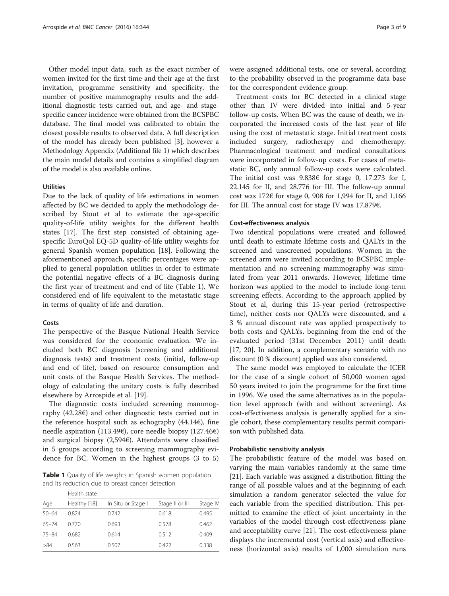Other model input data, such as the exact number of women invited for the first time and their age at the first invitation, programme sensitivity and specificity, the number of positive mammography results and the additional diagnostic tests carried out, and age- and stagespecific cancer incidence were obtained from the BCSPBC database. The final model was calibrated to obtain the closest possible results to observed data. A full description of the model has already been published [\[3\]](#page-7-0), however a Methodology Appendix (Additional file [1\)](#page-7-0) which describes the main model details and contains a simplified diagram of the model is also available online.

#### Utilities

Due to the lack of quality of life estimations in women affected by BC we decided to apply the methodology described by Stout et al to estimate the age-specific quality-of-life utility weights for the different health states [[17\]](#page-8-0). The first step consisted of obtaining agespecific EuroQol EQ-5D quality-of-life utility weights for general Spanish women population [\[18](#page-8-0)]. Following the aforementioned approach, specific percentages were applied to general population utilities in order to estimate the potential negative effects of a BC diagnosis during the first year of treatment and end of life (Table 1). We considered end of life equivalent to the metastatic stage in terms of quality of life and duration.

#### Costs

The perspective of the Basque National Health Service was considered for the economic evaluation. We included both BC diagnosis (screening and additional diagnosis tests) and treatment costs (initial, follow-up and end of life), based on resource consumption and unit costs of the Basque Health Services. The methodology of calculating the unitary costs is fully described elsewhere by Arrospide et al. [\[19\]](#page-8-0).

The diagnostic costs included screening mammography (42.28€) and other diagnostic tests carried out in the reference hospital such as echography  $(44.146)$ , fine needle aspiration (113.49€), core needle biopsy (127.46€) and surgical biopsy (2,594€). Attendants were classified in 5 groups according to screening mammography evidence for BC. Women in the highest groups (3 to 5)

Table 1 Quality of life weights in Spanish women population and its reduction due to breast cancer detection

|           | Health state |                    |                 |          |
|-----------|--------------|--------------------|-----------------|----------|
| Age       | Healthy [18] | In Situ or Stage I | Stage II or III | Stage IV |
| $50 - 64$ | 0.824        | 0.742              | 0.618           | 0.495    |
| $65 - 74$ | 0.770        | 0.693              | 0.578           | 0.462    |
| $75 - 84$ | 0.682        | 0.614              | 0.512           | 0.409    |
| >84       | 0.563        | 0.507              | 0.422           | 0.338    |

were assigned additional tests, one or several, according to the probability observed in the programme data base for the correspondent evidence group.

Treatment costs for BC detected in a clinical stage other than IV were divided into initial and 5-year follow-up costs. When BC was the cause of death, we incorporated the increased costs of the last year of life using the cost of metastatic stage. Initial treatment costs included surgery, radiotherapy and chemotherapy. Pharmacological treatment and medical consultations were incorporated in follow-up costs. For cases of metastatic BC, only annual follow-up costs were calculated. The initial cost was  $9.838 \text{ }$  for stage 0, 17.273 for I, 22.145 for II, and 28.776 for III. The follow-up annual cost was 172€ for stage 0, 908 for 1,994 for II, and 1,166 for III. The annual cost for stage IV was 17,879€.

#### Cost-effectiveness analysis

Two identical populations were created and followed until death to estimate lifetime costs and QALYs in the screened and unscreened populations. Women in the screened arm were invited according to BCSPBC implementation and no screening mammography was simulated from year 2011 onwards. However, lifetime time horizon was applied to the model to include long-term screening effects. According to the approach applied by Stout et al, during this 15-year period (retrospective time), neither costs nor QALYs were discounted, and a 3 % annual discount rate was applied prospectively to both costs and QALYs, beginning from the end of the evaluated period (31st December 2011) until death [[17](#page-8-0), [20](#page-8-0)]. In addition, a complementary scenario with no discount (0 % discount) applied was also considered.

The same model was employed to calculate the ICER for the case of a single cohort of 50,000 women aged 50 years invited to join the programme for the first time in 1996. We used the same alternatives as in the population level approach (with and without screening). As cost-effectiveness analysis is generally applied for a single cohort, these complementary results permit comparison with published data.

#### Probabilistic sensitivity analysis

The probabilistic feature of the model was based on varying the main variables randomly at the same time [[21\]](#page-8-0). Each variable was assigned a distribution fitting the range of all possible values and at the beginning of each simulation a random generator selected the value for each variable from the specified distribution. This permitted to examine the effect of joint uncertainty in the variables of the model through cost-effectiveness plane and acceptability curve [\[21](#page-8-0)]. The cost-effectiveness plane displays the incremental cost (vertical axis) and effectiveness (horizontal axis) results of 1,000 simulation runs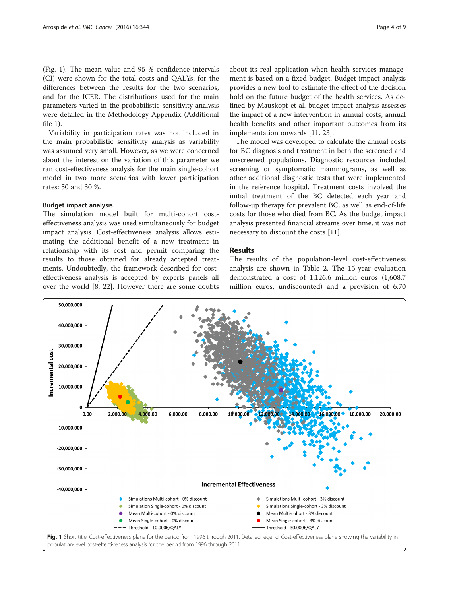<span id="page-3-0"></span>(Fig. 1). The mean value and 95 % confidence intervals (CI) were shown for the total costs and QALYs, for the differences between the results for the two scenarios, and for the ICER. The distributions used for the main parameters varied in the probabilistic sensitivity analysis were detailed in the Methodology Appendix (Additional file [1\)](#page-7-0).

Variability in participation rates was not included in the main probabilistic sensitivity analysis as variability was assumed very small. However, as we were concerned about the interest on the variation of this parameter we ran cost-effectiveness analysis for the main single-cohort model in two more scenarios with lower participation rates: 50 and 30 %.

#### Budget impact analysis

The simulation model built for multi-cohort costeffectiveness analysis was used simultaneously for budget impact analysis. Cost-effectiveness analysis allows estimating the additional benefit of a new treatment in relationship with its cost and permit comparing the results to those obtained for already accepted treatments. Undoubtedly, the framework described for costeffectiveness analysis is accepted by experts panels all over the world [[8, 22](#page-8-0)]. However there are some doubts

about its real application when health services management is based on a fixed budget. Budget impact analysis provides a new tool to estimate the effect of the decision hold on the future budget of the health services. As defined by Mauskopf et al. budget impact analysis assesses the impact of a new intervention in annual costs, annual health benefits and other important outcomes from its implementation onwards [[11, 23\]](#page-8-0).

The model was developed to calculate the annual costs for BC diagnosis and treatment in both the screened and unscreened populations. Diagnostic resources included screening or symptomatic mammograms, as well as other additional diagnostic tests that were implemented in the reference hospital. Treatment costs involved the initial treatment of the BC detected each year and follow-up therapy for prevalent BC, as well as end-of-life costs for those who died from BC. As the budget impact analysis presented financial streams over time, it was not necessary to discount the costs [[11\]](#page-8-0).

#### Results

The results of the population-level cost-effectiveness analysis are shown in Table [2.](#page-4-0) The 15-year evaluation demonstrated a cost of 1,126.6 million euros (1,608.7 million euros, undiscounted) and a provision of 6.70

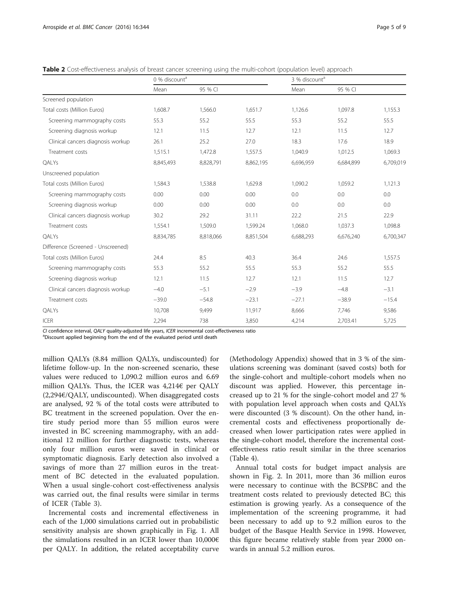<span id="page-4-0"></span>Table 2 Cost-effectiveness analysis of breast cancer screening using the multi-cohort (population level) approach

|                                    | 0 % discount <sup>a</sup> |           | 3 % discount <sup>a</sup> |           |           |           |
|------------------------------------|---------------------------|-----------|---------------------------|-----------|-----------|-----------|
|                                    | Mean                      | 95 % CI   |                           | Mean      | 95 % CI   |           |
| Screened population                |                           |           |                           |           |           |           |
| Total costs (Million Euros)        | 1,608.7                   | 1,566.0   | 1,651.7                   | 1,126.6   | 1,097.8   | 1,155.3   |
| Screening mammography costs        | 55.3                      | 55.2      | 55.5                      | 55.3      | 55.2      | 55.5      |
| Screening diagnosis workup         | 12.1                      | 11.5      | 12.7                      | 12.1      | 11.5      | 12.7      |
| Clinical cancers diagnosis workup  | 26.1                      | 25.2      | 27.0                      | 18.3      | 17.6      | 18.9      |
| Treatment costs                    | 1,515.1                   | 1,472.8   | 1,557.5                   | 1,040.9   | 1,012.5   | 1,069.3   |
| QALYs                              | 8,845,493                 | 8,828,791 | 8,862,195                 | 6,696,959 | 6,684,899 | 6,709,019 |
| Unscreened population              |                           |           |                           |           |           |           |
| Total costs (Million Euros)        | 1,584.3                   | 1,538.8   | 1,629.8                   | 1,090.2   | 1,059.2   | 1,121.3   |
| Screening mammography costs        | 0.00                      | 0.00      | 0.00                      | 0.0       | 0.0       | 0.0       |
| Screening diagnosis workup         | 0.00                      | 0.00      | 0.00                      | 0.0       | 0.0       | 0.0       |
| Clinical cancers diagnosis workup  | 30.2                      | 29.2      | 31.11                     | 22.2      | 21.5      | 22.9      |
| Treatment costs                    | 1,554.1                   | 1,509.0   | 1,599.24                  | 1.068.0   | 1,037.3   | 1,098.8   |
| QALYs                              | 8,834,785                 | 8,818,066 | 8,851,504                 | 6,688,293 | 6,676,240 | 6,700,347 |
| Difference (Screened - Unscreened) |                           |           |                           |           |           |           |
| Total costs (Million Euros)        | 24.4                      | 8.5       | 40.3                      | 36.4      | 24.6      | 1,557.5   |
| Screening mammography costs        | 55.3                      | 55.2      | 55.5                      | 55.3      | 55.2      | 55.5      |
| Screening diagnosis workup         | 12.1                      | 11.5      | 12.7                      | 12.1      | 11.5      | 12.7      |
| Clinical cancers diagnosis workup  | $-4.0$                    | $-5.1$    | $-2.9$                    | $-3.9$    | $-4.8$    | $-3.1$    |
| Treatment costs                    | $-39.0$                   | $-54.8$   | $-23.1$                   | $-27.1$   | $-38.9$   | $-15.4$   |
| QALYs                              | 10,708                    | 9,499     | 11,917                    | 8,666     | 7,746     | 9,586     |
| <b>ICER</b>                        | 2,294                     | 738       | 3,850                     | 4,214     | 2,703.41  | 5,725     |

CI confidence interval, QALY quality-adjusted life years, ICER incremental cost-effectiveness ratio <sup>a</sup>

<sup>a</sup>Discount applied beginning from the end of the evaluated period until death

million QALYs (8.84 million QALYs, undiscounted) for lifetime follow-up. In the non-screened scenario, these values were reduced to 1,090.2 million euros and 6.69 million QALYs. Thus, the ICER was 4,214€ per QALY (2,294€/QALY, undiscounted). When disaggregated costs are analysed, 92 % of the total costs were attributed to BC treatment in the screened population. Over the entire study period more than 55 million euros were invested in BC screening mammography, with an additional 12 million for further diagnostic tests, whereas only four million euros were saved in clinical or symptomatic diagnosis. Early detection also involved a savings of more than 27 million euros in the treatment of BC detected in the evaluated population. When a usual single-cohort cost-effectiveness analysis was carried out, the final results were similar in terms of ICER (Table [3](#page-5-0)).

Incremental costs and incremental effectiveness in each of the 1,000 simulations carried out in probabilistic sensitivity analysis are shown graphically in Fig. [1.](#page-3-0) All the simulations resulted in an ICER lower than  $10,000 \in$ per QALY. In addition, the related acceptability curve (Methodology Appendix) showed that in 3 % of the simulations screening was dominant (saved costs) both for the single-cohort and multiple-cohort models when no discount was applied. However, this percentage increased up to 21 % for the single-cohort model and 27 % with population level approach when costs and QALYs were discounted (3 % discount). On the other hand, incremental costs and effectiveness proportionally decreased when lower participation rates were applied in the single-cohort model, therefore the incremental costeffectiveness ratio result similar in the three scenarios (Table [4\)](#page-5-0).

Annual total costs for budget impact analysis are shown in Fig. [2.](#page-6-0) In 2011, more than 36 million euros were necessary to continue with the BCSPBC and the treatment costs related to previously detected BC; this estimation is growing yearly. As a consequence of the implementation of the screening programme, it had been necessary to add up to 9.2 million euros to the budget of the Basque Health Service in 1998. However, this figure became relatively stable from year 2000 onwards in annual 5.2 million euros.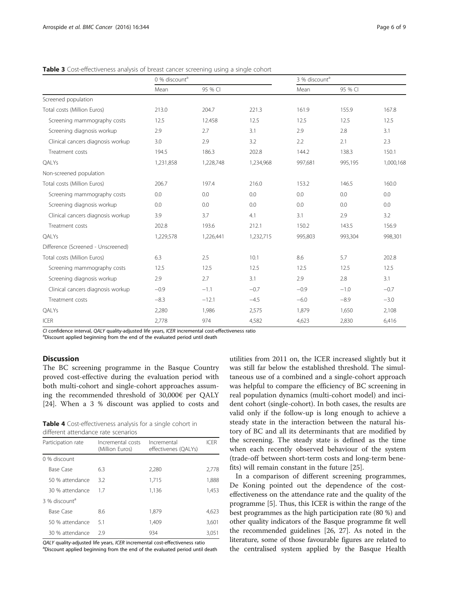|                                    | 0 % discount <sup>a</sup> |           | 3 % discount <sup>a</sup> |         |         |           |
|------------------------------------|---------------------------|-----------|---------------------------|---------|---------|-----------|
|                                    | Mean                      | 95 % CI   |                           | Mean    | 95 % CI |           |
| Screened population                |                           |           |                           |         |         |           |
| Total costs (Million Euros)        | 213.0                     | 204.7     | 221.3                     | 161.9   | 155.9   | 167.8     |
| Screening mammography costs        | 12.5                      | 12.458    | 12.5                      | 12.5    | 12.5    | 12.5      |
| Screening diagnosis workup         | 2.9                       | 2.7       | 3.1                       | 2.9     | 2.8     | 3.1       |
| Clinical cancers diagnosis workup  | 3.0                       | 2.9       | 3.2                       | 2.2     | 2.1     | 2.3       |
| Treatment costs                    | 194.5                     | 186.3     | 202.8                     | 144.2   | 138.3   | 150.1     |
| QALYs                              | 1,231,858                 | 1,228,748 | 1,234,968                 | 997,681 | 995,195 | 1,000,168 |
| Non-screened population            |                           |           |                           |         |         |           |
| Total costs (Million Euros)        | 206.7                     | 197.4     | 216.0                     | 153.2   | 146.5   | 160.0     |
| Screening mammography costs        | 0.0                       | 0.0       | 0.0                       | 0.0     | 0.0     | 0.0       |
| Screening diagnosis workup         | 0.0                       | 0.0       | 0.0                       | 0.0     | 0.0     | 0.0       |
| Clinical cancers diagnosis workup  | 3.9                       | 3.7       | 4.1                       | 3.1     | 2.9     | 3.2       |
| Treatment costs                    | 202.8                     | 193.6     | 212.1                     | 150.2   | 143.5   | 156.9     |
| QALYs                              | 1,229,578                 | 1,226,441 | 1,232,715                 | 995,803 | 993,304 | 998,301   |
| Difference (Screened - Unscreened) |                           |           |                           |         |         |           |
| Total costs (Million Euros)        | 6.3                       | 2.5       | 10.1                      | 8.6     | 5.7     | 202.8     |
| Screening mammography costs        | 12.5                      | 12.5      | 12.5                      | 12.5    | 12.5    | 12.5      |
| Screening diagnosis workup         | 2.9                       | 2.7       | 3.1                       | 2.9     | 2.8     | 3.1       |
| Clinical cancers diagnosis workup  | $-0.9$                    | $-1.1$    | $-0.7$                    | $-0.9$  | $-1.0$  | $-0.7$    |
| Treatment costs                    | $-8.3$                    | $-12.1$   | $-4.5$                    | $-6.0$  | $-8.9$  | $-3.0$    |
| QALYs                              | 2,280                     | 1,986     | 2,575                     | 1,879   | 1,650   | 2,108     |
| <b>ICER</b>                        | 2,778                     | 974       | 4,582                     | 4,623   | 2,830   | 6,416     |

<span id="page-5-0"></span>Table 3 Cost-effectiveness analysis of breast cancer screening using a single cohort

CI confidence interval, QALY quality-adjusted life years, ICER incremental cost-effectiveness ratio

<sup>a</sup>Discount applied beginning from the end of the evaluated period until death

#### **Discussion**

The BC screening programme in the Basque Country proved cost-effective during the evaluation period with both multi-cohort and single-cohort approaches assuming the recommended threshold of 30,000€ per QALY [[24\]](#page-8-0). When a 3 % discount was applied to costs and

| Table 4 Cost-effectiveness analysis for a single cohort in |  |  |  |
|------------------------------------------------------------|--|--|--|
| different attendance rate scenarios                        |  |  |  |

| Participation rate        | Incremental costs<br>(Million Euros) | Incremental<br>effectivenes (QALYs) | <b>ICFR</b> |  |
|---------------------------|--------------------------------------|-------------------------------------|-------------|--|
| 0 % discount              |                                      |                                     |             |  |
| Base Case                 | 6.3                                  | 2.280                               | 2,778       |  |
| 50 % attendance           | 3.2                                  | 1,715                               | 1,888       |  |
| 30 % attendance           | 17                                   | 1,136                               | 1,453       |  |
| 3 % discount <sup>a</sup> |                                      |                                     |             |  |
| Base Case                 | 8.6                                  | 1,879                               | 4,623       |  |
| 50 % attendance           | 5.1                                  | 1,409                               | 3,601       |  |
| 30 % attendance           | 29                                   | 934                                 | 3.051       |  |
|                           |                                      |                                     |             |  |

QALY quality-adjusted life years, ICER incremental cost-effectiveness ratio

aDiscount applied beginning from the end of the evaluated period until death

utilities from 2011 on, the ICER increased slightly but it was still far below the established threshold. The simultaneous use of a combined and a single-cohort approach was helpful to compare the efficiency of BC screening in real population dynamics (multi-cohort model) and incident cohort (single-cohort). In both cases, the results are valid only if the follow-up is long enough to achieve a steady state in the interaction between the natural history of BC and all its determinants that are modified by the screening. The steady state is defined as the time when each recently observed behaviour of the system (trade-off between short-term costs and long-term benefits) will remain constant in the future [[25\]](#page-8-0).

In a comparison of different screening programmes, De Koning pointed out the dependence of the costeffectiveness on the attendance rate and the quality of the programme [\[5](#page-7-0)]. Thus, this ICER is within the range of the best programmes as the high participation rate (80 %) and other quality indicators of the Basque programme fit well the recommended guidelines [\[26, 27](#page-8-0)]. As noted in the literature, some of those favourable figures are related to the centralised system applied by the Basque Health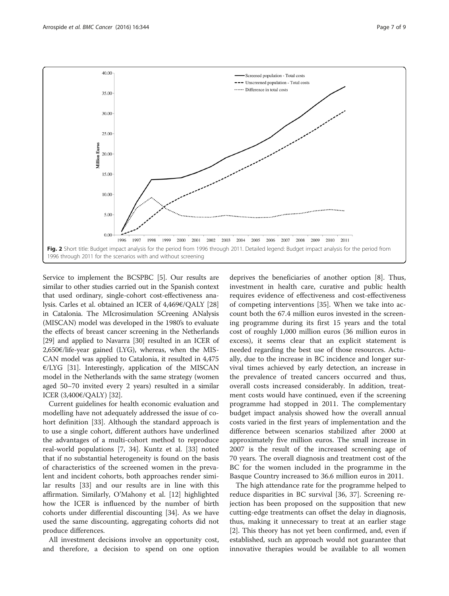<span id="page-6-0"></span>

Service to implement the BCSPBC [\[5](#page-7-0)]. Our results are similar to other studies carried out in the Spanish context that used ordinary, single-cohort cost-effectiveness analysis. Carles et al. obtained an ICER of 4,469€/QALY [[28](#page-8-0)] in Catalonia. The MIcrosimulation SCreening ANalysis (MISCAN) model was developed in the 1980's to evaluate the effects of breast cancer screening in the Netherlands [[29](#page-8-0)] and applied to Navarra [\[30](#page-8-0)] resulted in an ICER of 2,650€/life-year gained (LYG), whereas, when the MIS-CAN model was applied to Catalonia, it resulted in 4,475  $E/LYG$  [\[31\]](#page-8-0). Interestingly, application of the MISCAN model in the Netherlands with the same strategy (women aged 50–70 invited every 2 years) resulted in a similar ICER (3,400€/QALY) [[32](#page-8-0)].

Current guidelines for health economic evaluation and modelling have not adequately addressed the issue of cohort definition [\[33](#page-8-0)]. Although the standard approach is to use a single cohort, different authors have underlined the advantages of a multi-cohort method to reproduce real-world populations [\[7](#page-7-0), [34\]](#page-8-0). Kuntz et al. [33] noted that if no substantial heterogeneity is found on the basis of characteristics of the screened women in the prevalent and incident cohorts, both approaches render similar results [[33](#page-8-0)] and our results are in line with this affirmation. Similarly, O'Mahony et al. [12] highlighted how the ICER is influenced by the number of birth cohorts under differential discounting [[34](#page-8-0)]. As we have used the same discounting, aggregating cohorts did not produce differences.

All investment decisions involve an opportunity cost, and therefore, a decision to spend on one option

deprives the beneficiaries of another option [\[8](#page-8-0)]. Thus, investment in health care, curative and public health requires evidence of effectiveness and cost-effectiveness of competing interventions [[35\]](#page-8-0). When we take into account both the 67.4 million euros invested in the screening programme during its first 15 years and the total cost of roughly 1,000 million euros (36 million euros in excess), it seems clear that an explicit statement is needed regarding the best use of those resources. Actually, due to the increase in BC incidence and longer survival times achieved by early detection, an increase in the prevalence of treated cancers occurred and thus, overall costs increased considerably. In addition, treatment costs would have continued, even if the screening programme had stopped in 2011. The complementary budget impact analysis showed how the overall annual costs varied in the first years of implementation and the difference between scenarios stabilized after 2000 at approximately five million euros. The small increase in 2007 is the result of the increased screening age of 70 years. The overall diagnosis and treatment cost of the BC for the women included in the programme in the Basque Country increased to 36.6 million euros in 2011.

The high attendance rate for the programme helped to reduce disparities in BC survival [\[36, 37\]](#page-8-0). Screening rejection has been proposed on the supposition that new cutting-edge treatments can offset the delay in diagnosis, thus, making it unnecessary to treat at an earlier stage [[2\]](#page-7-0). This theory has not yet been confirmed, and, even if established, such an approach would not guarantee that innovative therapies would be available to all women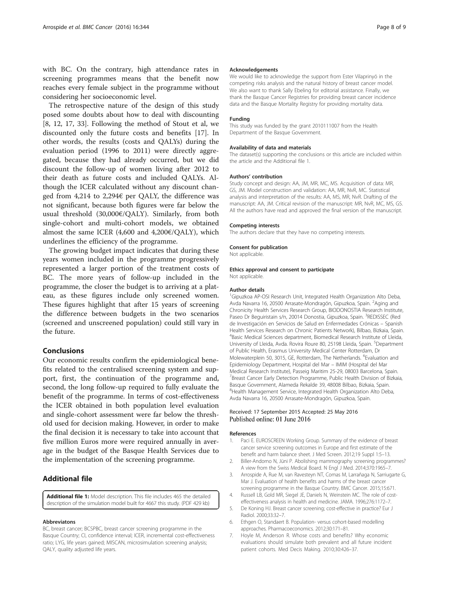<span id="page-7-0"></span>with BC. On the contrary, high attendance rates in screening programmes means that the benefit now reaches every female subject in the programme without considering her socioeconomic level.

The retrospective nature of the design of this study posed some doubts about how to deal with discounting [[8, 12, 17](#page-8-0), [33](#page-8-0)]. Following the method of Stout et al, we discounted only the future costs and benefits [[17\]](#page-8-0). In other words, the results (costs and QALYs) during the evaluation period (1996 to 2011) were directly aggregated, because they had already occurred, but we did discount the follow-up of women living after 2012 to their death as future costs and included QALYs. Although the ICER calculated without any discount changed from 4,214 to 2,294€ per QALY, the difference was not significant, because both figures were far below the usual threshold (30,000€/QALY). Similarly, from both single-cohort and multi-cohort models, we obtained almost the same ICER  $(4,600 \text{ and } 4,200\epsilon/\text{OALY})$ , which underlines the efficiency of the programme.

The growing budget impact indicates that during these years women included in the programme progressively represented a larger portion of the treatment costs of BC. The more years of follow-up included in the programme, the closer the budget is to arriving at a plateau, as these figures include only screened women. These figures highlight that after 15 years of screening the difference between budgets in the two scenarios (screened and unscreened population) could still vary in the future.

#### Conclusions

Our economic results confirm the epidemiological benefits related to the centralised screening system and support, first, the continuation of the programme and, second, the long follow-up required to fully evaluate the benefit of the programme. In terms of cost-effectiveness the ICER obtained in both population level evaluation and single-cohort assessment were far below the threshold used for decision making. However, in order to make the final decision it is necessary to take into account that five million Euros more were required annually in average in the budget of the Basque Health Services due to the implementation of the screening programme.

#### Additional file

[Additional file 1:](dx.doi.org/10.1186/s12885-016-2386-y) Model description. This file includes 465 the detailed description of the simulation model built for 4667 this study. (PDF 429 kb)

#### Abbreviatons

BC, breast cancer; BCSPBC, breast cancer screening programme in the Basque Country; CI, confidence interval; ICER, incremental cost-effectiveness ratio; LYG, life years gained; MISCAN, microsimulation screening analysis; QALY, quality adjusted life years.

#### Acknowledgements

We would like to acknowledge the support from Ester Vilaprinyó in the competing risks analysis and the natural history of breast cancer model. We also want to thank Sally Ebeling for editorial assistance. Finally, we thank the Basque Cancer Registries for providing breast cancer incidence data and the Basque Mortality Registry for providing mortality data.

#### Funding

This study was funded by the grant 2010111007 from the Health Department of the Basque Government.

#### Availability of data and materials

The dataset(s) supporting the conclusions or this article are included within the article and the Additional file 1.

#### Authors' contribution

Study concept and design: AA, JM, MR, MC, MS. Acquisition of data: MR, GS, JM. Model construction and validation: AA, MR, NvR, MC. Statistical analysis and interpretation of the results: AA, MS, MR, NvR. Drafting of the manuscript: AA, JM. Critical revision of the manuscript: MR, NvR, MC, MS, GS. All the authors have read and approved the final version of the manuscript.

#### Competing interests

The authors declare that they have no competing interests.

#### Consent for publication

Not applicable.

#### Ethics approval and consent to participate

Not applicable.

#### Author details

<sup>1</sup>Gipuzkoa AP-OSI Research Unit, Integrated Health Organization Alto Deba, Avda Navarra 16, 20500 Arrasate-Mondragón, Gipuzkoa, Spain. <sup>2</sup>Aging and Chronicity Health Services Research Group, BIODONOSTIA Research Institute, Paseo Dr Beguiristain s/n, 20014 Donostia, Gipuzkoa, Spain. <sup>3</sup>REDISSEC (Red de Investigación en Servicios de Salud en Enfermedades Crónicas – Spanish Health Services Research on Chronic Patients Network), Bilbao, Bizkaia, Spain. 4 Basic Medical Sciences department, Biomedical Research Institute of Lleida, University of Lleida, Avda. Rovira Roure 80, 25198 Lleida, Spain. <sup>5</sup>Department of Public Health, Erasmus University Medical Center Rotterdam, Dr Molewaterplein 50, 3015, GE, Rotterdam, The Netherlands. <sup>6</sup>Evaluation and Epidemiology Department, Hospital del Mar – IMIM (Hospital del Mar Medical Research Institute), Passeig Maritim 25-29, 08003 Barcelona, Spain. <sup>7</sup> Breast Cancer Early Detection Programme, Public Health Division of Bizkaia, Basque Government, Alameda Rekalde 39, 48008 Bilbao, Bizkaia, Spain. <sup>8</sup> Health Management Service, Integrated Health Organization Alto Deba Avda Navarra 16, 20500 Arrasate-Mondragón, Gipuzkoa, Spain.

#### Received: 17 September 2015 Accepted: 25 May 2016 Published online: 01 June 2016

#### References

- Paci E. EUROSCREEN Working Group. Summary of the evidence of breast cancer service screening outcomes in Europe and first estimate of the benefit and harm balance sheet. J Med Screen. 2012;19 Suppl 1:5–13.
- 2. Biller-Andorno N, Jüni P. Abolishing mammography screening programmes? A view from the Swiss Medical Board. N Engl J Med. 2014;370:1965–7.
- 3. Arrospide A, Rue M, van Ravesteyn NT, Comas M, Larrañaga N, Sarriugarte G, Mar J. Evaluation of health benefits and harms of the breast cancer screening programme in the Basque Country. BMC Cancer. 2015;15:671.
- 4. Russell LB, Gold MR, Siegel JE, Daniels N, Weinstein MC. The role of costeffectiveness analysis in health and medicine. JAMA. 1996;276:1172–7.
- 5. De Koning HJ. Breast cancer screening; cost-effective in practice? Eur J Radiol. 2000;33:32–7.
- 6. Ethgen O, Standaert B. Population- versus cohort-based modelling approaches. Pharmacoeconomics. 2012;30:171–81.
- 7. Hoyle M, Anderson R. Whose costs and benefits? Why economic evaluations should simulate both prevalent and all future incident patient cohorts. Med Decis Making. 2010;30:426–37.